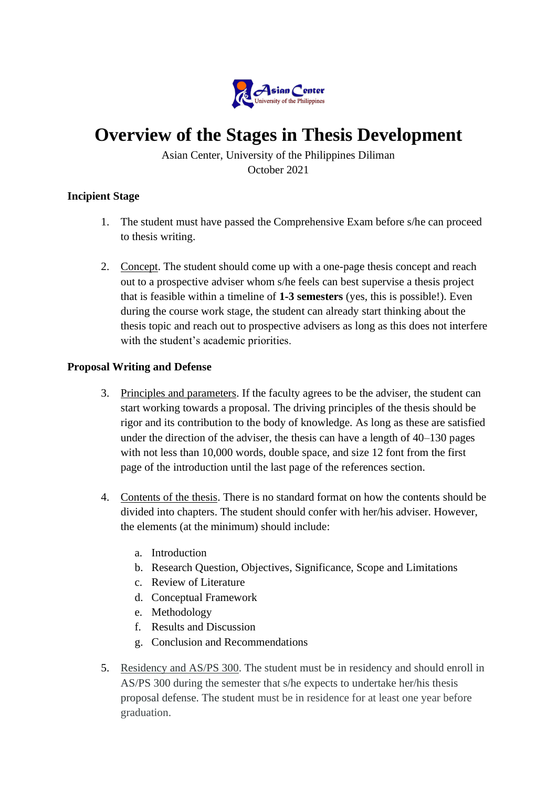

## **Overview of the Stages in Thesis Development**

Asian Center, University of the Philippines Diliman October 2021

## **Incipient Stage**

- 1. The student must have passed the Comprehensive Exam before s/he can proceed to thesis writing.
- 2. Concept. The student should come up with a one-page thesis concept and reach out to a prospective adviser whom s/he feels can best supervise a thesis project that is feasible within a timeline of **1-3 semesters** (yes, this is possible!). Even during the course work stage, the student can already start thinking about the thesis topic and reach out to prospective advisers as long as this does not interfere with the student's academic priorities.

## **Proposal Writing and Defense**

- 3. Principles and parameters. If the faculty agrees to be the adviser, the student can start working towards a proposal. The driving principles of the thesis should be rigor and its contribution to the body of knowledge. As long as these are satisfied under the direction of the adviser, the thesis can have a length of 40–130 pages with not less than 10,000 words, double space, and size 12 font from the first page of the introduction until the last page of the references section.
- 4. Contents of the thesis. There is no standard format on how the contents should be divided into chapters. The student should confer with her/his adviser. However, the elements (at the minimum) should include:
	- a. Introduction
	- b. Research Question, Objectives, Significance, Scope and Limitations
	- c. Review of Literature
	- d. Conceptual Framework
	- e. Methodology
	- f. Results and Discussion
	- g. Conclusion and Recommendations
- 5. Residency and AS/PS 300. The student must be in residency and should enroll in AS/PS 300 during the semester that s/he expects to undertake her/his thesis proposal defense. The student must be in residence for at least one year before graduation.